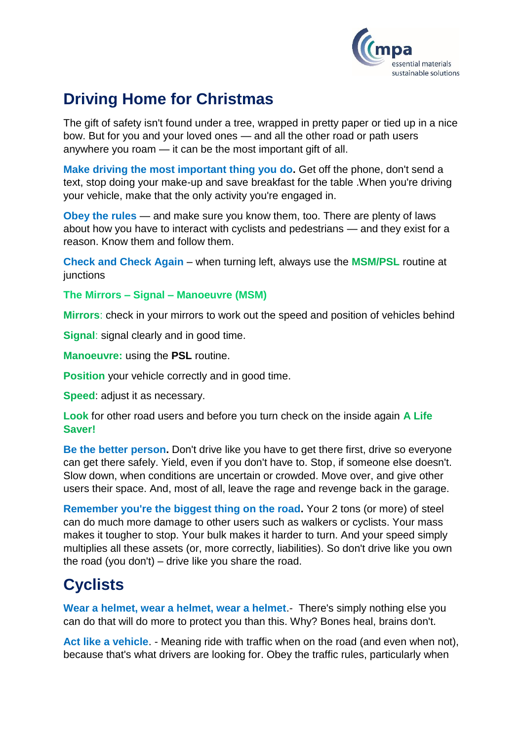

## **Driving Home for Christmas**

The gift of safety isn't found under a tree, wrapped in pretty paper or tied up in a nice bow. But for you and your loved ones — and all the other road or path users anywhere you roam — it can be the most important gift of all.

**Make driving the most important thing you do.** Get off the phone, don't send a text, stop doing your make-up and save breakfast for the table .When you're driving your vehicle, make that the only activity you're engaged in.

**Obey the rules** — and make sure you know them, too. There are plenty of laws about how you have to interact with cyclists and pedestrians — and they exist for a reason. Know them and follow them.

**Check and Check Again** – when turning left, always use the **MSM/PSL** routine at **junctions** 

**The Mirrors – Signal – Manoeuvre (MSM)**

**Mirrors**: check in your mirrors to work out the speed and position of vehicles behind

**Signal:** signal clearly and in good time.

**Manoeuvre:** using the **PSL** routine.

**Position** your vehicle correctly and in good time.

**Speed**: adjust it as necessary.

**Look** for other road users and before you turn check on the inside again **A Life Saver!**

**Be the better person.** Don't drive like you have to get there first, drive so everyone can get there safely. Yield, even if you don't have to. Stop, if someone else doesn't. Slow down, when conditions are uncertain or crowded. Move over, and give other users their space. And, most of all, leave the rage and revenge back in the garage.

**Remember you're the biggest thing on the road.** Your 2 tons (or more) of steel can do much more damage to other users such as walkers or cyclists. Your mass makes it tougher to stop. Your bulk makes it harder to turn. And your speed simply multiplies all these assets (or, more correctly, liabilities). So don't drive like you own the road (you don't) – drive like you share the road.

## **Cyclists**

**Wear a helmet, wear a helmet, wear a helmet**.- There's simply nothing else you can do that will do more to protect you than this. Why? Bones heal, brains don't.

**Act like a vehicle**. - Meaning ride with traffic when on the road (and even when not), because that's what drivers are looking for. Obey the traffic rules, particularly when